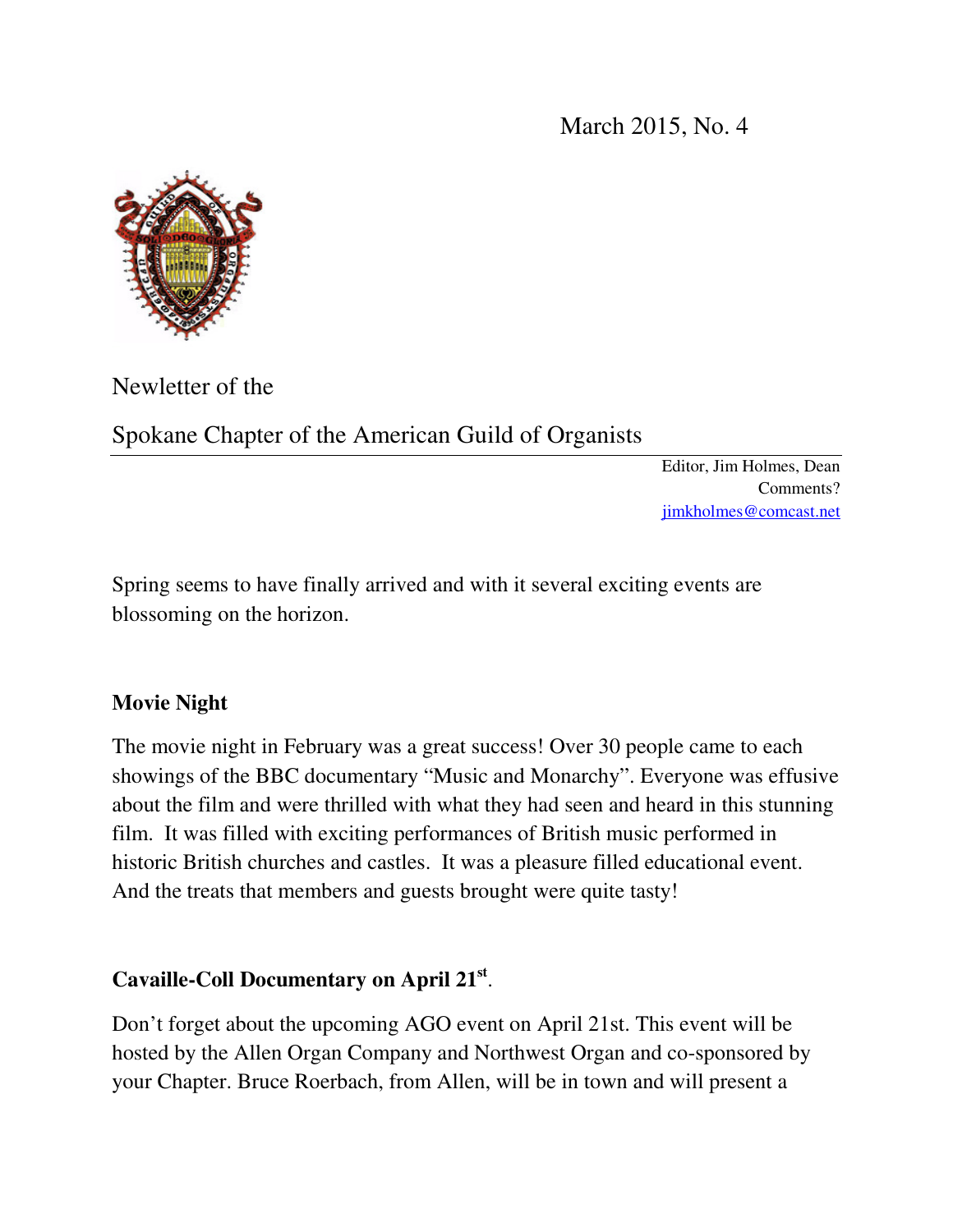March 2015, No. 4



Newletter of the

Spokane Chapter of the American Guild of Organists

Editor, Jim Holmes, Dean Comments? jimkholmes@comcast.net

Spring seems to have finally arrived and with it several exciting events are blossoming on the horizon.

## **Movie Night**

The movie night in February was a great success! Over 30 people came to each showings of the BBC documentary "Music and Monarchy". Everyone was effusive about the film and were thrilled with what they had seen and heard in this stunning film. It was filled with exciting performances of British music performed in historic British churches and castles. It was a pleasure filled educational event. And the treats that members and guests brought were quite tasty!

# **Cavaille-Coll Documentary on April 21st** .

Don't forget about the upcoming AGO event on April 21st. This event will be hosted by the Allen Organ Company and Northwest Organ and co-sponsored by your Chapter. Bruce Roerbach, from Allen, will be in town and will present a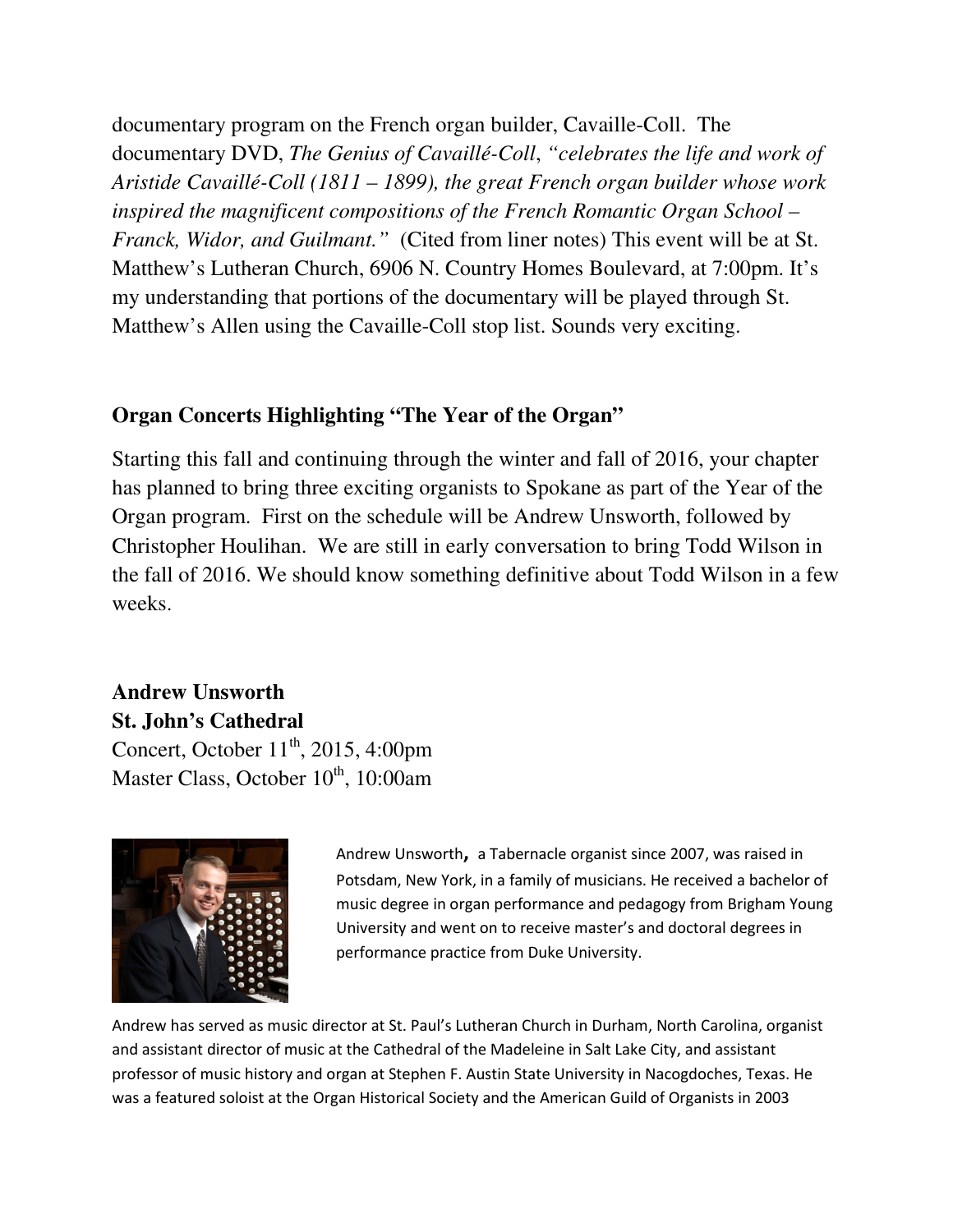documentary program on the French organ builder, Cavaille-Coll. The documentary DVD, *The Genius of Cavaillé-Coll*, *"celebrates the life and work of Aristide Cavaillé-Coll (1811 – 1899), the great French organ builder whose work inspired the magnificent compositions of the French Romantic Organ School – Franck, Widor, and Guilmant."* (Cited from liner notes) This event will be at St. Matthew's Lutheran Church, 6906 N. Country Homes Boulevard, at 7:00pm. It's my understanding that portions of the documentary will be played through St. Matthew's Allen using the Cavaille-Coll stop list. Sounds very exciting.

### **Organ Concerts Highlighting "The Year of the Organ"**

Starting this fall and continuing through the winter and fall of 2016, your chapter has planned to bring three exciting organists to Spokane as part of the Year of the Organ program. First on the schedule will be Andrew Unsworth, followed by Christopher Houlihan. We are still in early conversation to bring Todd Wilson in the fall of 2016. We should know something definitive about Todd Wilson in a few weeks.

# **Andrew Unsworth St. John's Cathedral**  Concert, October  $11<sup>th</sup>$ , 2015, 4:00pm Master Class, October  $10^{th}$ , 10:00am



Andrew Unsworth**,** a Tabernacle organist since 2007, was raised in Potsdam, New York, in a family of musicians. He received a bachelor of music degree in organ performance and pedagogy from Brigham Young University and went on to receive master's and doctoral degrees in performance practice from Duke University.

Andrew has served as music director at St. Paul's Lutheran Church in Durham, North Carolina, organist and assistant director of music at the Cathedral of the Madeleine in Salt Lake City, and assistant professor of music history and organ at Stephen F. Austin State University in Nacogdoches, Texas. He was a featured soloist at the Organ Historical Society and the American Guild of Organists in 2003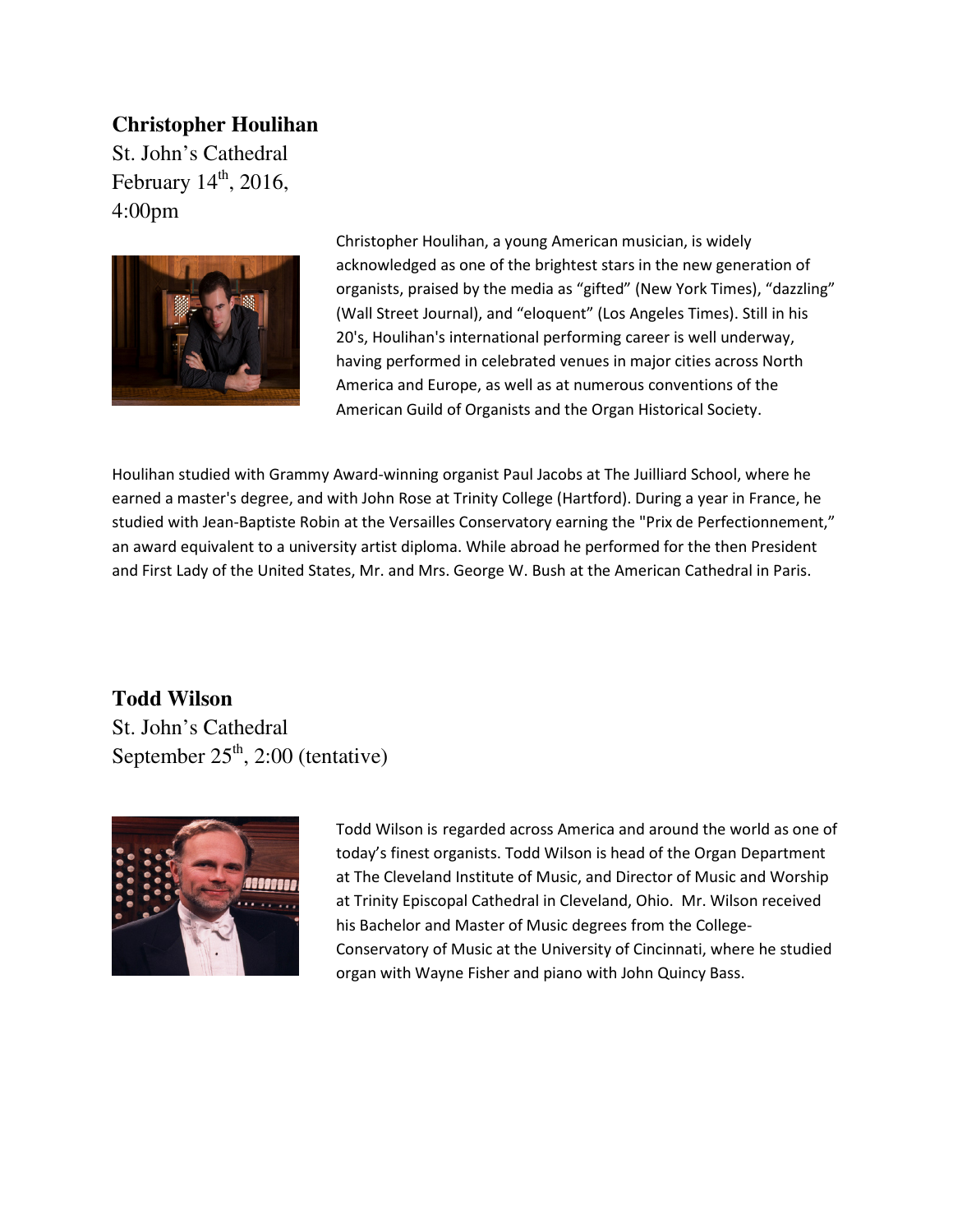### **Christopher Houlihan**

St. John's Cathedral February  $14<sup>th</sup>$ , 2016, 4:00pm



Christopher Houlihan, a young American musician, is widely acknowledged as one of the brightest stars in the new generation of organists, praised by the media as "gifted" (New York Times), "dazzling" (Wall Street Journal), and "eloquent" (Los Angeles Times). Still in his 20's, Houlihan's international performing career is well underway, having performed in celebrated venues in major cities across North America and Europe, as well as at numerous conventions of the American Guild of Organists and the Organ Historical Society.

Houlihan studied with Grammy Award-winning organist Paul Jacobs at The Juilliard School, where he earned a master's degree, and with John Rose at Trinity College (Hartford). During a year in France, he studied with Jean-Baptiste Robin at the Versailles Conservatory earning the "Prix de Perfectionnement," an award equivalent to a university artist diploma. While abroad he performed for the then President and First Lady of the United States, Mr. and Mrs. George W. Bush at the American Cathedral in Paris.

**Todd Wilson**  St. John's Cathedral September  $25<sup>th</sup>$ , 2:00 (tentative)



Todd Wilson is regarded across America and around the world as one of today's finest organists. Todd Wilson is head of the Organ Department at The Cleveland Institute of Music, and Director of Music and Worship at Trinity Episcopal Cathedral in Cleveland, Ohio. Mr. Wilson received his Bachelor and Master of Music degrees from the College-Conservatory of Music at the University of Cincinnati, where he studied organ with Wayne Fisher and piano with John Quincy Bass.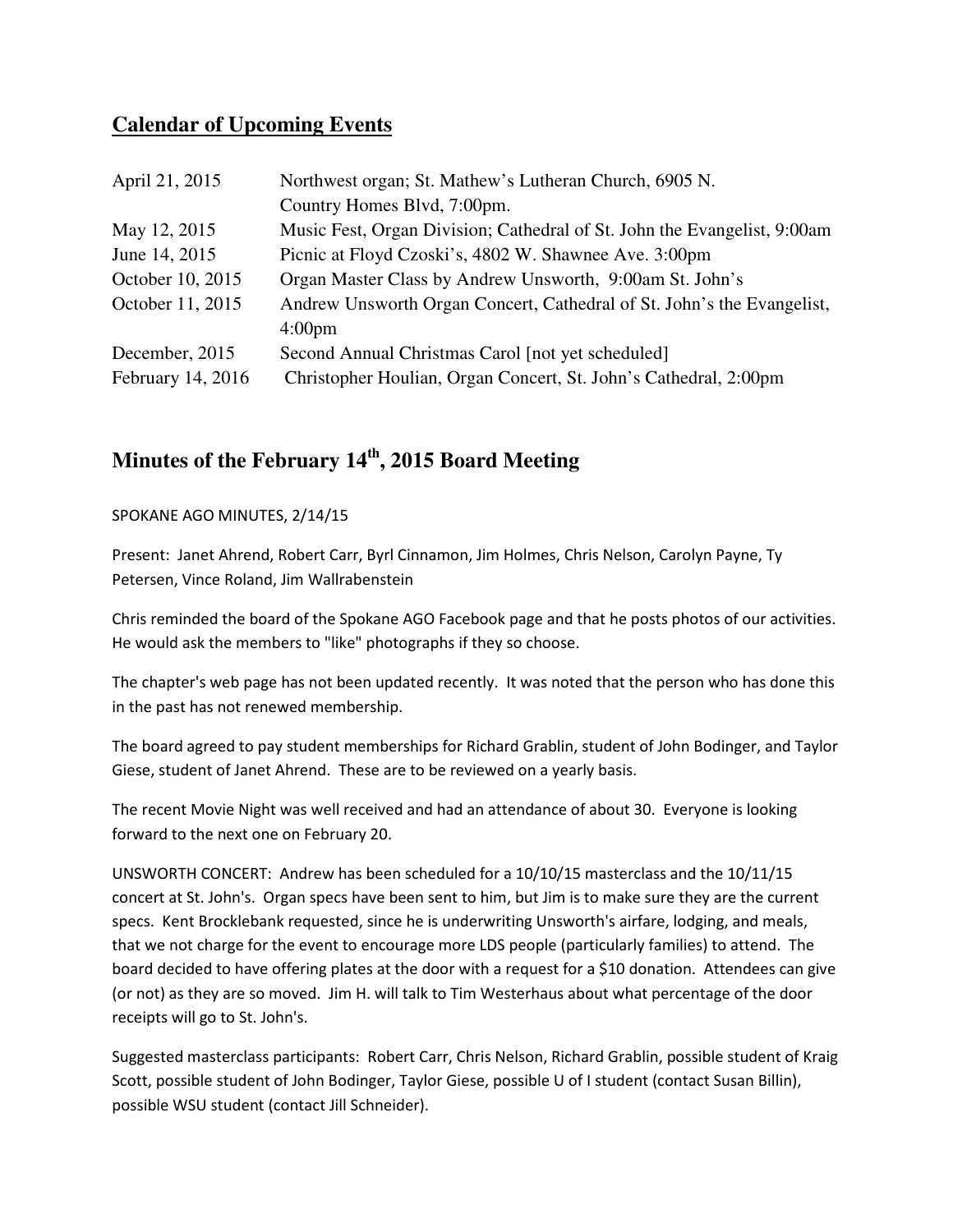### **Calendar of Upcoming Events**

| April 21, 2015    | Northwest organ; St. Mathew's Lutheran Church, 6905 N.                   |
|-------------------|--------------------------------------------------------------------------|
|                   | Country Homes Blvd, 7:00pm.                                              |
| May 12, 2015      | Music Fest, Organ Division; Cathedral of St. John the Evangelist, 9:00am |
| June 14, 2015     | Picnic at Floyd Czoski's, 4802 W. Shawnee Ave. 3:00pm                    |
| October 10, 2015  | Organ Master Class by Andrew Unsworth, 9:00am St. John's                 |
| October 11, 2015  | Andrew Unsworth Organ Concert, Cathedral of St. John's the Evangelist,   |
|                   | 4:00 <sub>pm</sub>                                                       |
| December, 2015    | Second Annual Christmas Carol [not yet scheduled]                        |
| February 14, 2016 | Christopher Houlian, Organ Concert, St. John's Cathedral, 2:00pm         |

# **Minutes of the February 14th, 2015 Board Meeting**

#### SPOKANE AGO MINUTES, 2/14/15

Present: Janet Ahrend, Robert Carr, Byrl Cinnamon, Jim Holmes, Chris Nelson, Carolyn Payne, Ty Petersen, Vince Roland, Jim Wallrabenstein

Chris reminded the board of the Spokane AGO Facebook page and that he posts photos of our activities. He would ask the members to "like" photographs if they so choose.

The chapter's web page has not been updated recently. It was noted that the person who has done this in the past has not renewed membership.

The board agreed to pay student memberships for Richard Grablin, student of John Bodinger, and Taylor Giese, student of Janet Ahrend. These are to be reviewed on a yearly basis.

The recent Movie Night was well received and had an attendance of about 30. Everyone is looking forward to the next one on February 20.

UNSWORTH CONCERT: Andrew has been scheduled for a 10/10/15 masterclass and the 10/11/15 concert at St. John's. Organ specs have been sent to him, but Jim is to make sure they are the current specs. Kent Brocklebank requested, since he is underwriting Unsworth's airfare, lodging, and meals, that we not charge for the event to encourage more LDS people (particularly families) to attend. The board decided to have offering plates at the door with a request for a \$10 donation. Attendees can give (or not) as they are so moved. Jim H. will talk to Tim Westerhaus about what percentage of the door receipts will go to St. John's.

Suggested masterclass participants: Robert Carr, Chris Nelson, Richard Grablin, possible student of Kraig Scott, possible student of John Bodinger, Taylor Giese, possible U of I student (contact Susan Billin), possible WSU student (contact Jill Schneider).